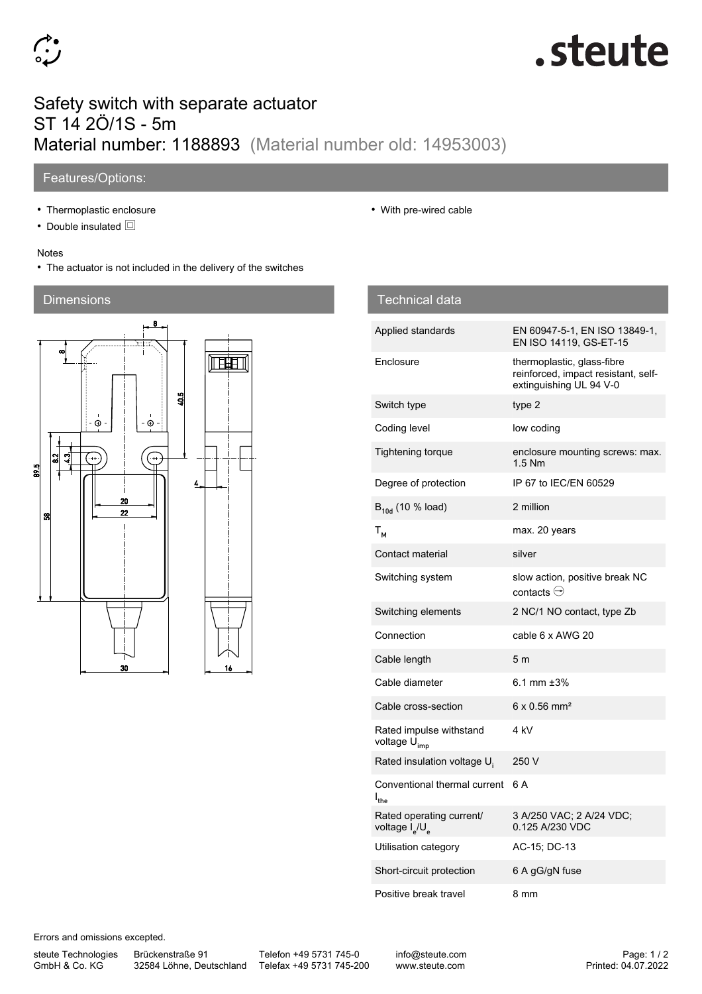

# .steute

## Safety switch with separate actuator ST 14 2Ö/1S - 5m Material number: 1188893 (Material number old: 14953003)

### Features/Options:

- Thermoplastic enclosure
- Double insulated  $\Box$

#### Notes

• The actuator is not included in the delivery of the switches

### Dimensions



#### • With pre-wired cable

| Technical data                                                     |                                                                                              |
|--------------------------------------------------------------------|----------------------------------------------------------------------------------------------|
| Applied standards                                                  | EN 60947-5-1, EN ISO 13849-1,<br>EN ISO 14119, GS-ET-15                                      |
| Enclosure                                                          | thermoplastic, glass-fibre<br>reinforced, impact resistant, self-<br>extinguishing UL 94 V-0 |
| Switch type                                                        | type 2                                                                                       |
| Coding level                                                       | low coding                                                                                   |
| <b>Tightening torque</b>                                           | enclosure mounting screws: max.<br>$1.5$ Nm                                                  |
| Degree of protection                                               | IP 67 to IEC/EN 60529                                                                        |
| $B_{10d}$ (10 % load)                                              | 2 million                                                                                    |
| $T_{M}$                                                            | max. 20 years                                                                                |
| Contact material                                                   | silver                                                                                       |
| Switching system                                                   | slow action, positive break NC<br>contacts $\ominus$                                         |
| Switching elements                                                 | 2 NC/1 NO contact, type Zb                                                                   |
| Connection                                                         | cable 6 x AWG 20                                                                             |
| Cable length                                                       | 5 <sub>m</sub>                                                                               |
| Cable diameter                                                     | 6.1 mm $±3%$                                                                                 |
| Cable cross-section                                                | $6 \times 0.56$ mm <sup>2</sup>                                                              |
| Rated impulse withstand<br>voltage U <sub>imp</sub>                | 4 kV                                                                                         |
| Rated insulation voltage U.                                        | 250 V                                                                                        |
| Conventional thermal current<br>$I_{the}$                          | 6 A                                                                                          |
| Rated operating current/<br>voltage I <sub>e</sub> /U <sub>e</sub> | 3 A/250 VAC; 2 A/24 VDC;<br>0.125 A/230 VDC                                                  |
| Utilisation category                                               | AC-15; DC-13                                                                                 |
| Short-circuit protection                                           | 6 A gG/gN fuse                                                                               |
| Positive break travel                                              | 8 mm                                                                                         |

Errors and omissions excepted.

steute Technologies GmbH & Co. KG

Brückenstraße 91

32584 Löhne, Deutschland Telefax +49 5731 745-200 Telefon +49 5731 745-0

info@steute.com